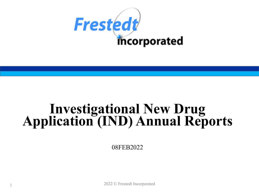

# **Investigational New Drug Application (IND) Annual Reports**

08FEB2022

2022 © Frestedt Incorporated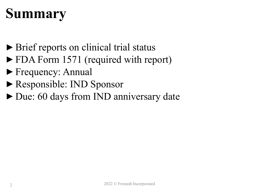## **Summary**

- ► Brief reports on clinical trial status
- ►FDA Form 1571 (required with report)
- ►Frequency: Annual
- ►Responsible: IND Sponsor
- ►Due: 60 days from IND anniversary date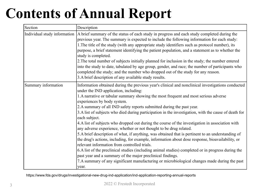## **Contents of Annual Report**

| Section                      | Description                                                                                                                                                                                                                                                                                                                                                                                                                                                                                                                                                                                                                                                                                                                                                                                                                                                                                                                                                                                                                                                                                                                                                                        |
|------------------------------|------------------------------------------------------------------------------------------------------------------------------------------------------------------------------------------------------------------------------------------------------------------------------------------------------------------------------------------------------------------------------------------------------------------------------------------------------------------------------------------------------------------------------------------------------------------------------------------------------------------------------------------------------------------------------------------------------------------------------------------------------------------------------------------------------------------------------------------------------------------------------------------------------------------------------------------------------------------------------------------------------------------------------------------------------------------------------------------------------------------------------------------------------------------------------------|
| Individual study information | A brief summary of the status of each study in progress and each study completed during the<br>previous year. The summary is expected to include the following information for each study:<br>1. The title of the study (with any appropriate study identifiers such as protocol number), its<br>purpose, a brief statement identifying the patient population, and a statement as to whether the<br>study is completed.<br>2. The total number of subjects initially planned for inclusion in the study; the number entered<br>into the study to date, tabulated by age group, gender, and race; the number of participants who<br>completed the study; and the number who dropped out of the study for any reason.<br>3.A brief description of any available study results.                                                                                                                                                                                                                                                                                                                                                                                                      |
| Summary information          | Information obtained during the previous year's clinical and nonclinical investigations conducted<br>under the IND application, including:<br>1.A narrative or tabular summary showing the most frequent and most serious adverse<br>experiences by body system.<br>2.A summary of all IND safety reports submitted during the past year.<br>3.A list of subjects who died during participation in the investigation, with the cause of death for<br>each subject.<br>4.A list of subjects who dropped out during the course of the investigation in association with<br>any adverse experience, whether or not thought to be drug related.<br>5.A brief description of what, if anything, was obtained that is pertinent to an understanding of<br>the drug's actions, including, for example, information about dose response, bioavailability, or<br>relevant information from controlled trials.<br>6.A list of the preclinical studies (including animal studies) completed or in progress during the<br>past year and a summary of the major preclinical findings.<br>7. A summary of any significant manufacturing or microbiological changes made during the past<br>year. |

https://www.fda.gov/drugs/investigational-new-drug-ind-application/ind-application-reporting-annual-reports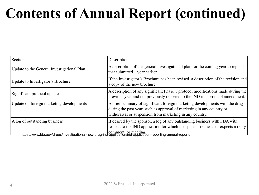#### **Contents of Annual Report (continued)**

| Section                                                                                                                            | Description                                                                                                                                                                                                     |  |  |
|------------------------------------------------------------------------------------------------------------------------------------|-----------------------------------------------------------------------------------------------------------------------------------------------------------------------------------------------------------------|--|--|
| Update to the General Investigational Plan                                                                                         | A description of the general investigational plan for the coming year to replace<br>that submitted 1 year earlier.                                                                                              |  |  |
| Update to Investigator's Brochure                                                                                                  | If the Investigator's Brochure has been revised, a description of the revision and<br>a copy of the new brochure.                                                                                               |  |  |
| Significant protocol updates                                                                                                       | A description of any significant Phase 1 protocol modifications made during the<br>previous year and not previously reported to the IND in a protocol amendment.                                                |  |  |
| Update on foreign marketing developments                                                                                           | A brief summary of significant foreign marketing developments with the drug<br>during the past year, such as approval of marketing in any country or<br>withdrawal or suspension from marketing in any country. |  |  |
| A log of outstanding business                                                                                                      | If desired by the sponsor, a log of any outstanding business with FDA with<br>respect to the IND application for which the sponsor requests or expects a reply,                                                 |  |  |
| comment_or_meeting_<br>https://www.fda.gov/drugs/investigational-new-drug-ind-application/ind-application-reporting-annual-reports |                                                                                                                                                                                                                 |  |  |